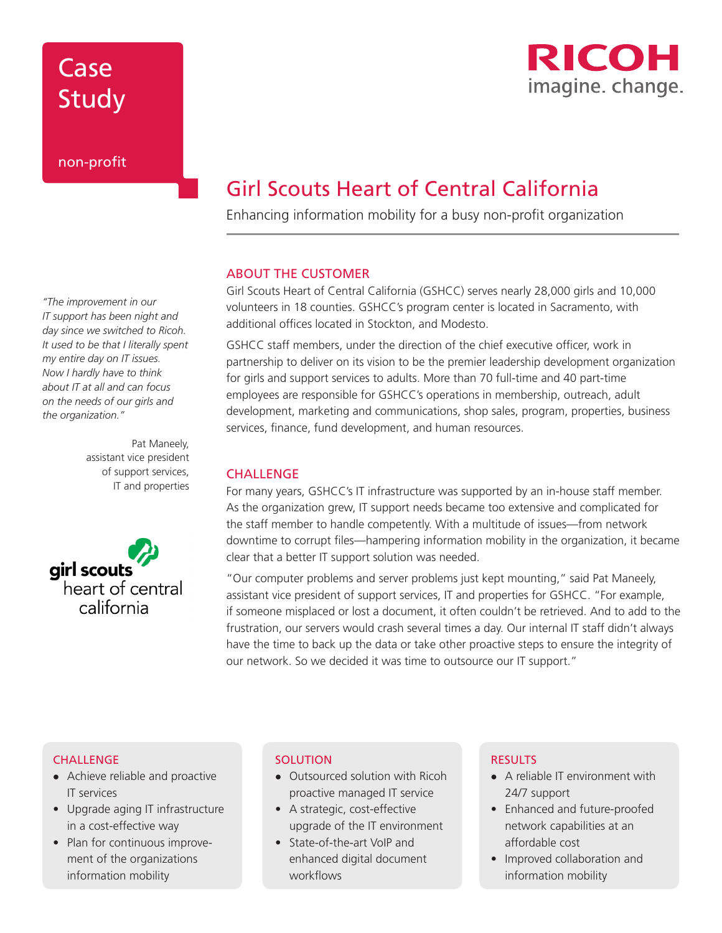# Case Study

*"The improvement in our IT support has been night and day since we switched to Ricoh. It used to be that I literally spent my entire day on IT issues. Now I hardly have to think about IT at all and can focus on the needs of our girls and the organization."* 

> Pat Maneely, assistant vice president of support services, IT and properties



# Girl Scouts Heart of Central California

Enhancing information mobility for a busy non-profit organization

### ABOUT THE CUSTOMER

Girl Scouts Heart of Central California (GSHCC) serves nearly 28,000 girls and 10,000 volunteers in 18 counties. GSHCC's program center is located in Sacramento, with additional offices located in Stockton, and Modesto.

GSHCC staff members, under the direction of the chief executive officer, work in partnership to deliver on its vision to be the premier leadership development organization for girls and support services to adults. More than 70 full-time and 40 part-time employees are responsible for GSHCC's operations in membership, outreach, adult development, marketing and communications, shop sales, program, properties, business services, finance, fund development, and human resources.

### **CHALLENGE**

For many years, GSHCC's IT infrastructure was supported by an in-house staff member. As the organization grew, IT support needs became too extensive and complicated for the staff member to handle competently. With a multitude of issues—from network downtime to corrupt files—hampering information mobility in the organization, it became clear that a better IT support solution was needed.

"Our computer problems and server problems just kept mounting," said Pat Maneely, assistant vice president of support services, IT and properties for GSHCC. "For example, if someone misplaced or lost a document, it often couldn't be retrieved. And to add to the frustration, our servers would crash several times a day. Our internal IT staff didn't always have the time to back up the data or take other proactive steps to ensure the integrity of our network. So we decided it was time to outsource our IT support."

#### **CHALLENGE**

- Achieve reliable and proactive IT services
- Upgrade aging IT infrastructure in a cost-effective way
- Plan for continuous improvement of the organizations information mobility

#### **SOLUTION**

- Outsourced solution with Ricoh proactive managed IT service
- A strategic, cost-effective upgrade of the IT environment
- State-of-the-art VoIP and enhanced digital document workflows

### **RESULTS**

- $\bullet$  A reliable IT environment with 24/7 support
- Enhanced and future-proofed network capabilities at an affordable cost
- Improved collaboration and information mobility

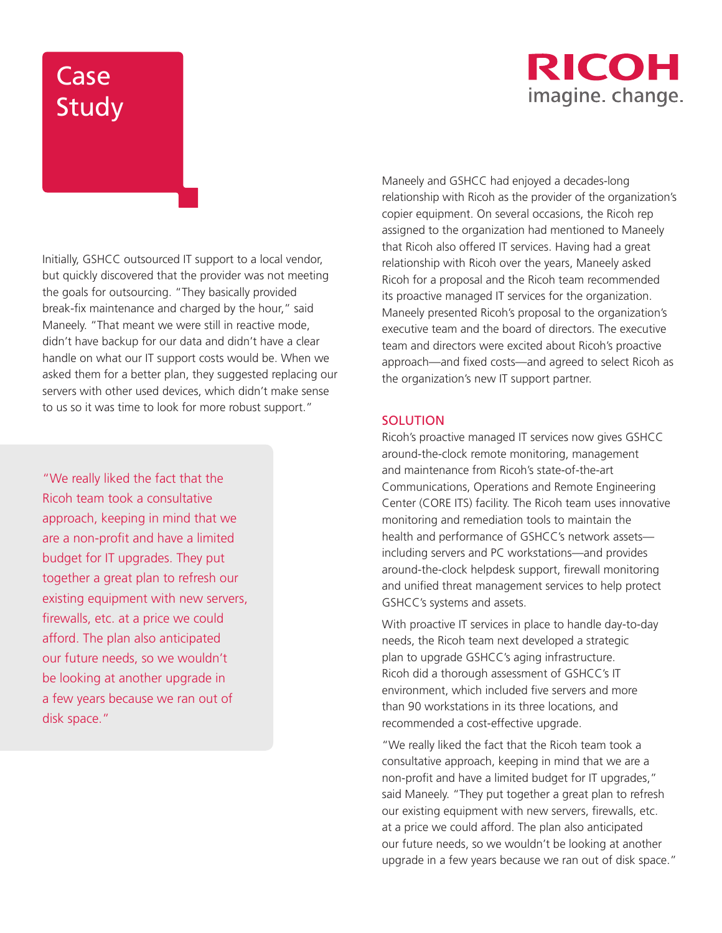## **RICOH** imagine. change.

# Case Study

Initially, GSHCC outsourced IT support to a local vendor, but quickly discovered that the provider was not meeting the goals for outsourcing. "They basically provided break-fix maintenance and charged by the hour," said Maneely. "That meant we were still in reactive mode, didn't have backup for our data and didn't have a clear handle on what our IT support costs would be. When we asked them for a better plan, they suggested replacing our servers with other used devices, which didn't make sense to us so it was time to look for more robust support."

"We really liked the fact that the Ricoh team took a consultative approach, keeping in mind that we are a non-profit and have a limited budget for IT upgrades. They put together a great plan to refresh our existing equipment with new servers, firewalls, etc. at a price we could afford. The plan also anticipated our future needs, so we wouldn't be looking at another upgrade in a few years because we ran out of disk space."

Maneely and GSHCC had enjoyed a decades-long relationship with Ricoh as the provider of the organization's copier equipment. On several occasions, the Ricoh rep assigned to the organization had mentioned to Maneely that Ricoh also offered IT services. Having had a great relationship with Ricoh over the years, Maneely asked Ricoh for a proposal and the Ricoh team recommended its proactive managed IT services for the organization. Maneely presented Ricoh's proposal to the organization's executive team and the board of directors. The executive team and directors were excited about Ricoh's proactive approach—and fixed costs—and agreed to select Ricoh as the organization's new IT support partner.

### **SOLUTION**

Ricoh's proactive managed IT services now gives GSHCC around-the-clock remote monitoring, management and maintenance from Ricoh's state-of-the-art Communications, Operations and Remote Engineering Center (CORE ITS) facility. The Ricoh team uses innovative monitoring and remediation tools to maintain the health and performance of GSHCC's network assets including servers and PC workstations—and provides around-the-clock helpdesk support, firewall monitoring and unified threat management services to help protect GSHCC's systems and assets.

With proactive IT services in place to handle day-to-day needs, the Ricoh team next developed a strategic plan to upgrade GSHCC's aging infrastructure. Ricoh did a thorough assessment of GSHCC's IT environment, which included five servers and more than 90 workstations in its three locations, and recommended a cost-effective upgrade.

"We really liked the fact that the Ricoh team took a consultative approach, keeping in mind that we are a non-profit and have a limited budget for IT upgrades," said Maneely. "They put together a great plan to refresh our existing equipment with new servers, firewalls, etc. at a price we could afford. The plan also anticipated our future needs, so we wouldn't be looking at another upgrade in a few years because we ran out of disk space."